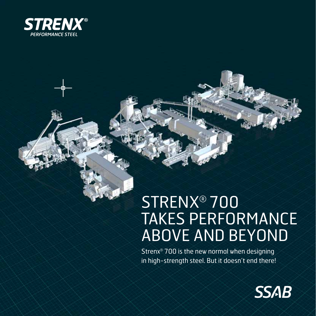

## STRENX® 700 TAKES PERFORMANCE ABOVE AND BEYOND

Strenx® 700 is the new normal when designing in high-strength steel. But it doesn't end there!

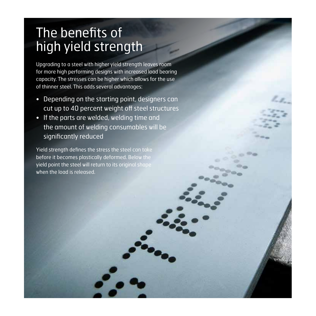#### The benefits of high yield strength

Upgrading to a steel with higher yield strength leaves room for more high performing designs with increased load bearing capacity. The stresses can be higher which allows for the use of thinner steel. This adds several advantages:

- Depending on the starting point, designers can cut up to 40 percent weight off steel structures
- If the parts are welded, welding time and the amount of welding consumables will be significantly reduced

Yield strength defines the stress the steel can take before it becomes plastically deformed. Below the **yield point the steel will return to its original shape** when the load is released.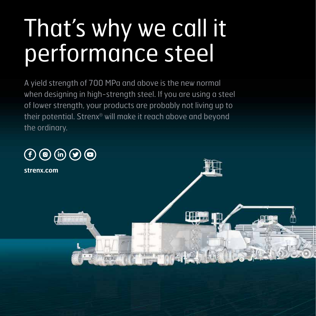# That's why we call it performance steel

A yield strength of 700 MPa and above is the new normal when designing in high-strength steel. If you are using a steel of lower strength, your products are probably not living up to their potential. Strenx® will make it reach above and beyond the ordinary.

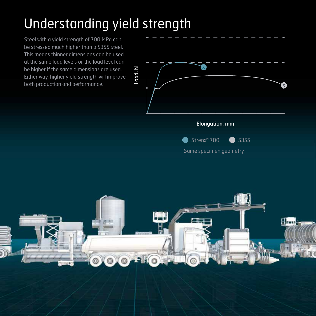#### Understanding yield strength

Steel with a yield strength of 700 MPa can be stressed much higher than a S355 steel. This means thinner dimensions can be used at the same load levels or the load level can be higher if the same dimensions are used. Either way, higher yield strength will improve both production and performance.



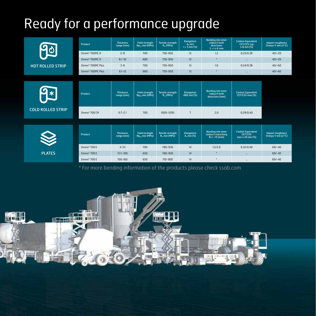## Ready for a performance upgrade

| <b>HOT ROLLED STRIP</b>  | Product                        | <b>Thickness</b><br>range [mm] | <b>Yield strength</b><br>$Rp_{02}$ min [MPa] | <b>Tensile strength</b><br>$R_m$ [MPa]               | <b>Elongation</b><br>$A_5$ min<br>$t \geq 3$ mm [%] | <b>Bending min inner</b><br>radius/t both<br>directions<br>$3 < t \leq 6$ mm | <b>Carbon Equivalent</b><br>CET/CEV typ<br>$t = 6$ mm $[%]$   | <b>Impact toughness</b><br>Charpy V min [J/°C] |
|--------------------------|--------------------------------|--------------------------------|----------------------------------------------|------------------------------------------------------|-----------------------------------------------------|------------------------------------------------------------------------------|---------------------------------------------------------------|------------------------------------------------|
|                          | Strenx <sup>®</sup> 700MCD     | $2 - 8$                        | 700                                          | 750-950                                              | 12                                                  | 1.2                                                                          | 0.25/0.39                                                     | $40/-20$                                       |
|                          | Strenx <sup>®</sup> 700MCD     | $8.1 - 10$                     | 680                                          | 750-950                                              | 12                                                  | $\dot{\mathbf{x}}$                                                           | $\cdots$                                                      | $40/-20$                                       |
|                          | Strenx <sup>®</sup> 700MC Plus | $3 - 8$                        | 700                                          | 750-950                                              | 13                                                  | 1.0                                                                          | 0.24/0.38                                                     | $40/-60$                                       |
|                          | Strenx <sup>®</sup> 700MC Plus | $8.1 - 12$                     | 680                                          | 750-950                                              | 13                                                  | ٠                                                                            |                                                               | $40/-60$                                       |
|                          |                                |                                |                                              |                                                      |                                                     |                                                                              |                                                               |                                                |
| <b>COLD ROLLED STRIP</b> | Product                        | <b>Thickness</b><br>range [mm] | <b>Yield strength</b><br>$Rp_{02}$ min [MPa] | <b>Tensile strength</b><br>$R_m$ [MPa]               | <b>Elongation</b><br>A80 min [%]                    | <b>Bending min inner</b><br>radius/t both<br>directions [mm]                 | <b>Carbon Equivalent</b><br>CET/CEV max [%]                   |                                                |
|                          | Strenx <sup>®</sup> 700 CR     | $0.7 - 2.1$                    | 700                                          | 1000-1200                                            | $7\overline{ }$                                     | 2.0                                                                          | 0.29/0.40                                                     |                                                |
|                          | Product                        | <b>Thickness</b><br>range [mm] | <b>Yield strength</b><br>$Rp_{02}$ min [MPa] | <b>Tensile strength</b><br>$R_m$ min [MP $\bar{q}$ ] | <b>Elongation</b><br>$As$ min [%]                   | <b>Bending min inner</b><br>radius/t trans/long<br>$8 \le t < 15$ [mm]       | <b>Carbon Equivalent</b><br><b>CET/CEV</b><br>max t=10 mm [%] | <b>Impact toughness</b><br>Charpy V min [J/°C] |
| <b>PLATES</b>            | Strenx <sup>®</sup> 700 E      | $4 - 53$                       | 700                                          | 780-930                                              | 14                                                  | 1.5/2.0                                                                      | 0.32/0.49                                                     | $69/-40$                                       |
|                          | Strenx <sup>®</sup> 700 E      | 53.1-100                       | 650                                          | 780-930                                              | 14                                                  | $\star$                                                                      | $\cdots$                                                      | $69/-40$                                       |
|                          | Strenx <sup>®</sup> 700 E      | 100-160                        | 650                                          | 710-900                                              | 14                                                  | $\star$                                                                      | $\cdots$                                                      | $69/-40$                                       |

\* For more bending information of the products please check ssab.com